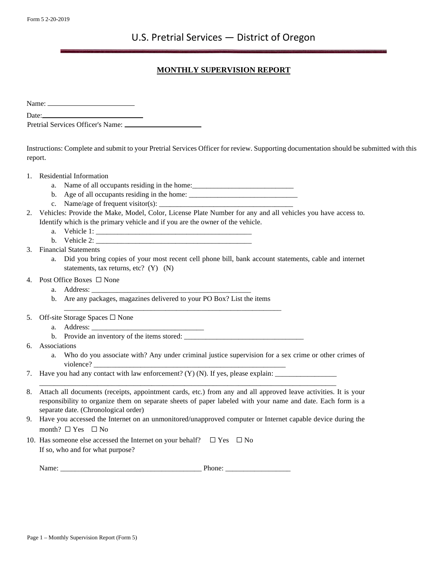## **MONTHLY SUPERVISION REPORT**

Name:

Date: Pretrial Services Officer's Name:

Instructions: Complete and submit to your Pretrial Services Officer for review. Supporting documentation should be submitted with this report.

- 1. Residential Information
	- a. Name of all occupants residing in the home:\_\_\_\_\_\_\_\_\_\_\_\_\_\_\_\_\_\_\_\_\_\_\_\_\_\_\_\_\_\_\_\_\_\_\_
	- b. Age of all occupants residing in the home: \_\_\_\_\_\_\_\_\_\_\_\_\_\_\_\_\_\_\_\_\_\_\_\_\_\_\_\_\_\_\_\_\_\_\_
	- c. Name/age of frequent visitor(s):  $\frac{1}{\sqrt{2}}$
- 2. Vehicles: Provide the Make, Model, Color, License Plate Number for any and all vehicles you have access to. Identify which is the primary vehicle and if you are the owner of the vehicle.
	- a. Vehicle 1:
	- b. Vehicle  $2$ :
- 3. Financial Statements
	- a. Did you bring copies of your most recent cell phone bill, bank account statements, cable and internet statements, tax returns, etc? (Y) (N)
- 4. Post Office Boxes ☐ None
	- a. Address:
	- b. Are any packages, magazines delivered to your PO Box? List the items

\_\_\_\_\_\_\_\_\_\_\_\_\_\_\_\_\_\_\_\_\_\_\_\_\_\_\_\_\_\_\_\_\_\_\_\_\_\_\_\_\_\_\_\_\_\_\_\_\_\_\_\_\_\_\_\_\_\_\_\_

- 5. Off-site Storage Spaces  $\square$  None
	- a. Address: \_\_\_\_\_\_\_\_\_\_\_\_\_\_\_\_\_\_\_\_\_\_\_\_\_\_\_\_\_\_\_
	- b. Provide an inventory of the items stored: \_\_\_\_\_\_\_\_\_\_\_\_\_\_\_\_\_\_\_\_\_\_\_\_\_\_\_\_\_\_\_\_\_
- 6. Associations
	- a. Who do you associate with? Any under criminal justice supervision for a sex crime or other crimes of violence?
- 7. Have you had any contact with law enforcement? (Y) (N). If yes, please explain: \_\_\_\_\_\_\_\_\_\_\_\_\_\_\_\_\_
- 8. Attach all documents (receipts, appointment cards, etc.) from any and all approved leave activities. It is your responsibility to organize them on separate sheets of paper labeled with your name and date. Each form is a separate date. (Chronological order)

\_\_\_\_\_\_\_\_\_\_\_\_\_\_\_\_\_\_\_\_\_\_\_\_\_\_\_\_\_\_\_\_\_\_\_\_\_\_\_\_\_\_\_\_\_\_\_\_\_\_\_\_\_\_\_\_\_\_\_\_\_\_\_\_\_\_\_\_\_\_\_\_\_\_\_\_\_\_\_\_\_\_

- 9. Have you accessed the Internet on an unmonitored/unapproved computer or Internet capable device during the month?  $\square$  Yes  $\square$  No
- 10. Has someone else accessed the Internet on your behalf?  $□$  Yes  $□$  No If so, who and for what purpose?

Name: \_\_\_\_\_\_\_\_\_\_\_\_\_\_\_\_\_\_\_\_\_\_\_\_\_\_\_\_\_\_\_\_\_\_\_\_\_\_\_ Phone: \_\_\_\_\_\_\_\_\_\_\_\_\_\_\_\_\_\_